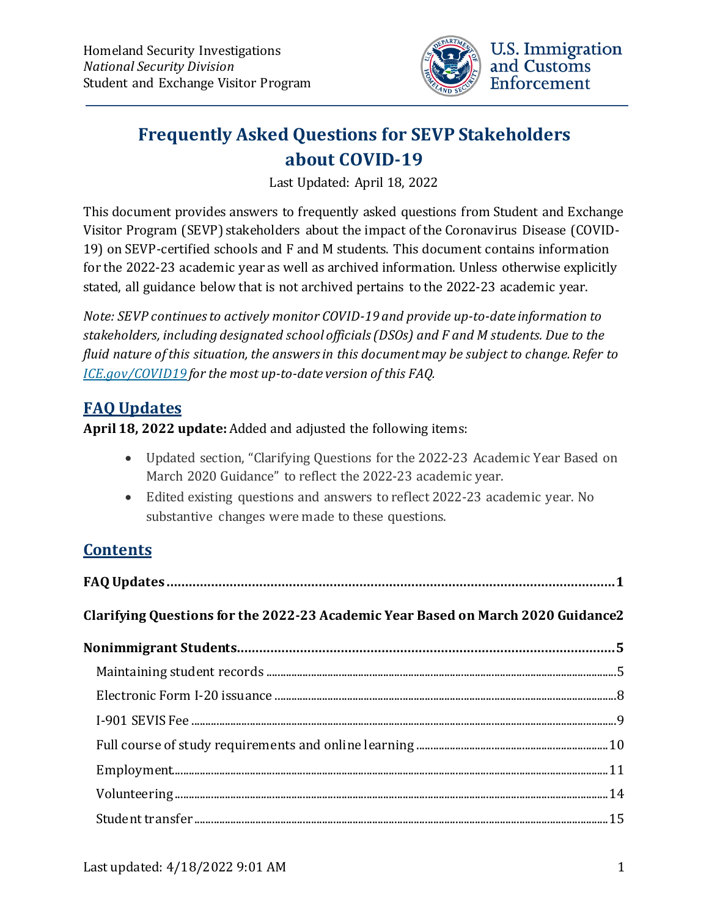

# **Frequently Asked Questions for SEVP Stakeholders about COVID-19**

Last Updated: April 18, 2022

This document provides answers to frequently asked questions from Student and Exchange Visitor Program (SEVP) stakeholders about the impact of the Coronavirus Disease (COVID-19) on SEVP-certified schools and F and M students. This document contains information for the 2022-23 academic year as well as archived information. Unless otherwise explicitly stated, all guidance below that is not archived pertains to the 2022-23 academic year.

*Note: SEVP continues to actively monitor COVID-19 and provide up-to-date information to stakeholders, including designated school officials(DSOs) and F and M students. Due to the fluid nature of this situation, the answers in this document may be subject to change.Refer to [ICE.gov/COVID19](https://www.ice.gov/covid19) for the most up-to-date version of this FAQ.*

## <span id="page-0-0"></span>**FAQ Updates**

#### **April 18, 2022 update:** Added and adjusted the following items:

- Updated section, "Clarifying Questions for the 2022-23 Academic Year Based on March 2020 Guidance" to reflect the 2022-23 academic year.
- Edited existing questions and answers to reflect 2022-23 academic year. No substantive changes were made to these questions.

## **Contents**

| Clarifying Questions for the 2022-23 Academic Year Based on March 2020 Guidance2                                                                                                                                                                                                                                                                                                                                              |  |
|-------------------------------------------------------------------------------------------------------------------------------------------------------------------------------------------------------------------------------------------------------------------------------------------------------------------------------------------------------------------------------------------------------------------------------|--|
|                                                                                                                                                                                                                                                                                                                                                                                                                               |  |
|                                                                                                                                                                                                                                                                                                                                                                                                                               |  |
|                                                                                                                                                                                                                                                                                                                                                                                                                               |  |
|                                                                                                                                                                                                                                                                                                                                                                                                                               |  |
|                                                                                                                                                                                                                                                                                                                                                                                                                               |  |
|                                                                                                                                                                                                                                                                                                                                                                                                                               |  |
| ${\bf Volumeering}\,\,{}_{\dots\,{}_{\dots\,{}_{\dots\,{}_{\dots\,{}_{\dots\,{}_{\dots\,{}_{\dots\,{}_{\dots\,{}_{\dots\,{}_{\dots\,{}_{\dots\,{}_{\dots\,{}_{\dots\,{}_{\dots\,{}_{\dots\,{}_{\dots\,{}_{\dots\,{}_{\dots\,{}_{\dots\,{}_{\dots\,{}_{\dots\,{}_{\dots\,{}_{\dots\,{}_{\dots\,{}_{\dots\,{}_{\dots\,{}_{\dots\,{}_{\dots\,{}_{\dots\,{}_{\dots\,{}_{\dots\,{}_{\dots\,{}_{\dots\,{}_{\dots\,{}_{\dots\,{}_{\$ |  |
|                                                                                                                                                                                                                                                                                                                                                                                                                               |  |
|                                                                                                                                                                                                                                                                                                                                                                                                                               |  |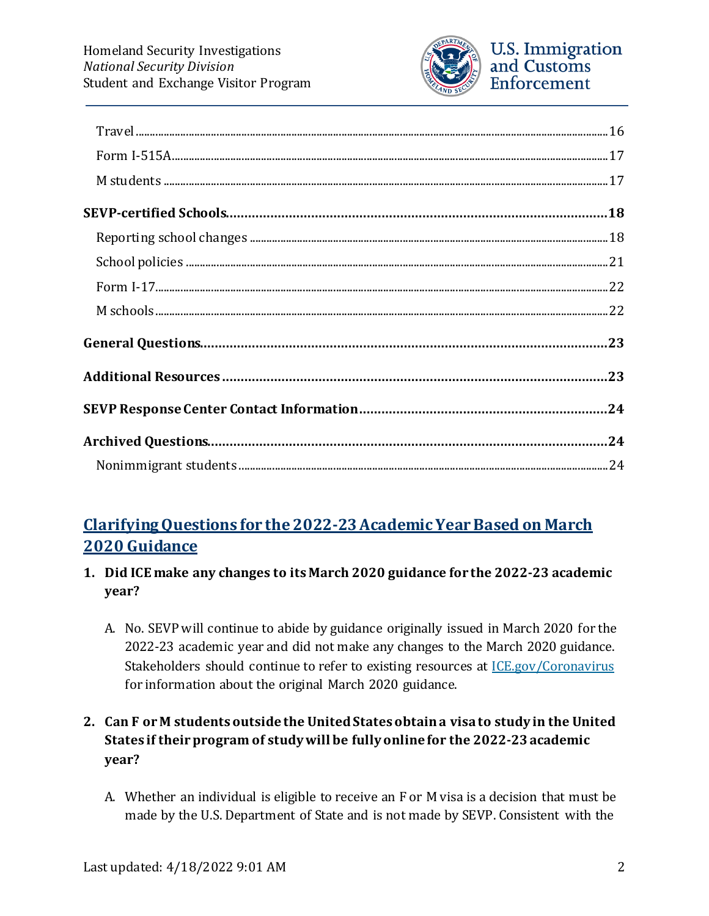

# <span id="page-1-0"></span>**Clarifying Questions for the 2022-23Academic Year Based on March 2020 Guidance**

- **1. Did ICE make any changes to its March 2020 guidance for the 2022-23 academic year?**
	- A. No. SEVP will continue to abide by guidance originally issued in March 2020 for the 2022-23 academic year and did not make any changes to the March 2020 guidance. Stakeholders should continue to refer to existing resources at [ICE.gov/Coronavirus](https://www.ice.gov/coronavirus) for information about the original March 2020 guidance.

### **2. Can F or M students outside the United States obtain a visa to study in the United States if their program of study will be fully online for the 2022-23academic year?**

A. Whether an individual is eligible to receive an F or M visa is a decision that must be made by the U.S. Department of State and is not made by SEVP. Consistent with the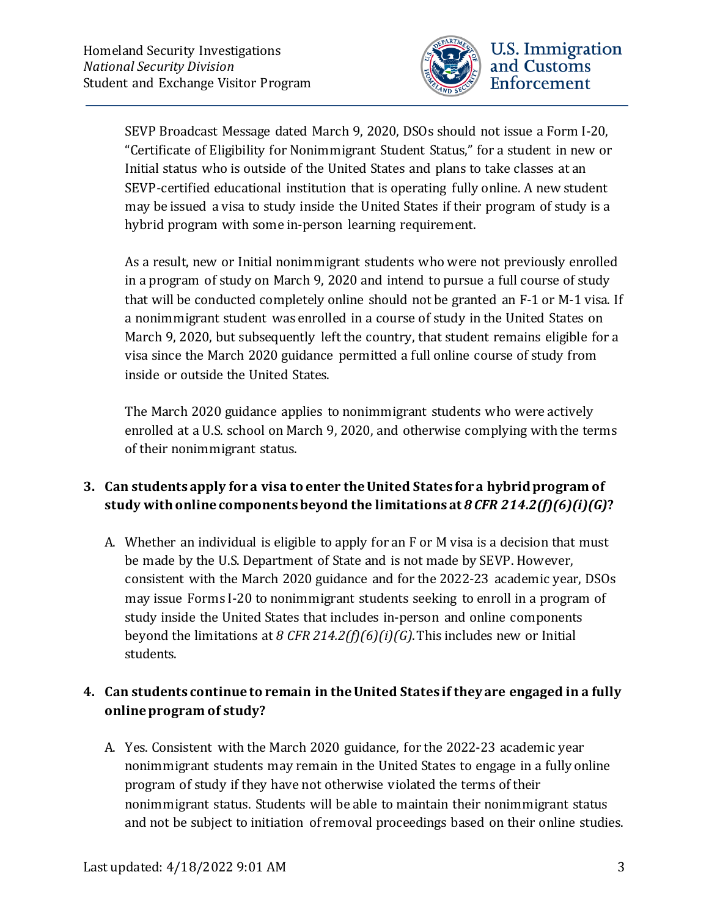

SEVP Broadcast Message dated March 9, 2020, DSOs should not issue a Form I-20, "Certificate of Eligibility for Nonimmigrant Student Status," for a student in new or Initial status who is outside of the United States and plans to take classes at an SEVP-certified educational institution that is operating fully online. A new student may be issued a visa to study inside the United States if their program of study is a hybrid program with some in-person learning requirement.

As a result, new or Initial nonimmigrant students who were not previously enrolled in a program of study on March 9, 2020 and intend to pursue a full course of study that will be conducted completely online should not be granted an F-1 or M-1 visa. If a nonimmigrant student was enrolled in a course of study in the United States on March 9, 2020, but subsequently left the country, that student remains eligible for a visa since the March 2020 guidance permitted a full online course of study from inside or outside the United States.

The March 2020 guidance applies to nonimmigrant students who were actively enrolled at a U.S. school on March 9, 2020, and otherwise complying with the terms of their nonimmigrant status.

### **3. Can students apply for a visa to enter the United States for a hybrid program of study with online components beyond the limitations at** *8 CFR 214.2(f)(6)(i)(G)***?**

A. Whether an individual is eligible to apply for an F or M visa is a decision that must be made by the U.S. Department of State and is not made by SEVP. However, consistent with the March 2020 guidance and for the 2022-23 academic year, DSOs may issue Forms I-20 to nonimmigrant students seeking to enroll in a program of study inside the United States that includes in-person and online components beyond the limitations at *8 CFR 214.2(f)(6)(i)(G)*. This includes new or Initial students.

### **4. Can students continue to remain in the United States if they are engaged in a fully online program of study?**

A. Yes. Consistent with the March 2020 guidance, for the 2022-23 academic year nonimmigrant students may remain in the United States to engage in a fully online program of study if they have not otherwise violated the terms of their nonimmigrant status. Students will be able to maintain their nonimmigrant status and not be subject to initiation of removal proceedings based on their online studies.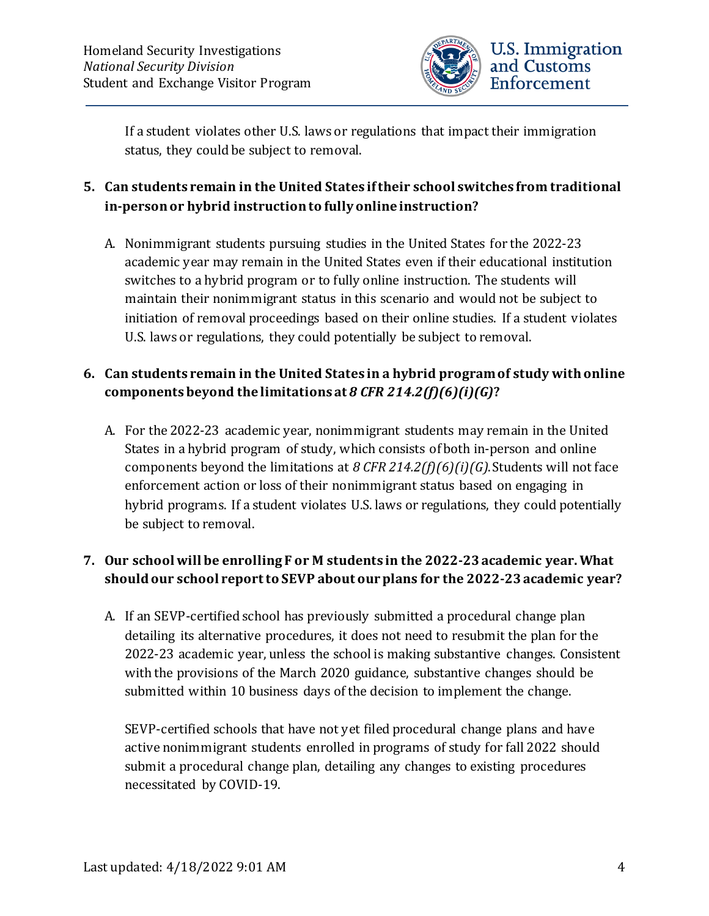

If a student violates other U.S. laws or regulations that impact their immigration status, they could be subject to removal.

### **5. Can students remain in the United States if their school switches from traditional in-person or hybrid instruction to fully online instruction?**

A. Nonimmigrant students pursuing studies in the United States for the 2022-23 academic year may remain in the United States even if their educational institution switches to a hybrid program or to fully online instruction. The students will maintain their nonimmigrant status in this scenario and would not be subject to initiation of removal proceedings based on their online studies. If a student violates U.S. laws or regulations, they could potentially be subject to removal.

### **6. Can students remain in the United States in a hybrid program of study with online components beyond the limitations at** *8 CFR 214.2(f)(6)(i)(G)***?**

A. For the 2022-23 academic year, nonimmigrant students may remain in the United States in a hybrid program of study, which consists of both in-person and online components beyond the limitations at *8 CFR 214.2(f)(6)(i)(G)*. Students will not face enforcement action or loss of their nonimmigrant status based on engaging in hybrid programs. If a student violates U.S. laws or regulations, they could potentially be subject to removal.

### **7. Our school will be enrolling F or M students in the 2022-23academic year. What should our school report to SEVP about our plans for the 2022-23academic year?**

A. If an SEVP-certified school has previously submitted a procedural change plan detailing its alternative procedures, it does not need to resubmit the plan for the 2022-23 academic year, unless the school is making substantive changes. Consistent with the provisions of the March 2020 guidance, substantive changes should be submitted within 10 business days of the decision to implement the change.

SEVP-certified schools that have not yet filed procedural change plans and have active nonimmigrant students enrolled in programs of study for fall 2022 should submit a procedural change plan, detailing any changes to existing procedures necessitated by COVID-19.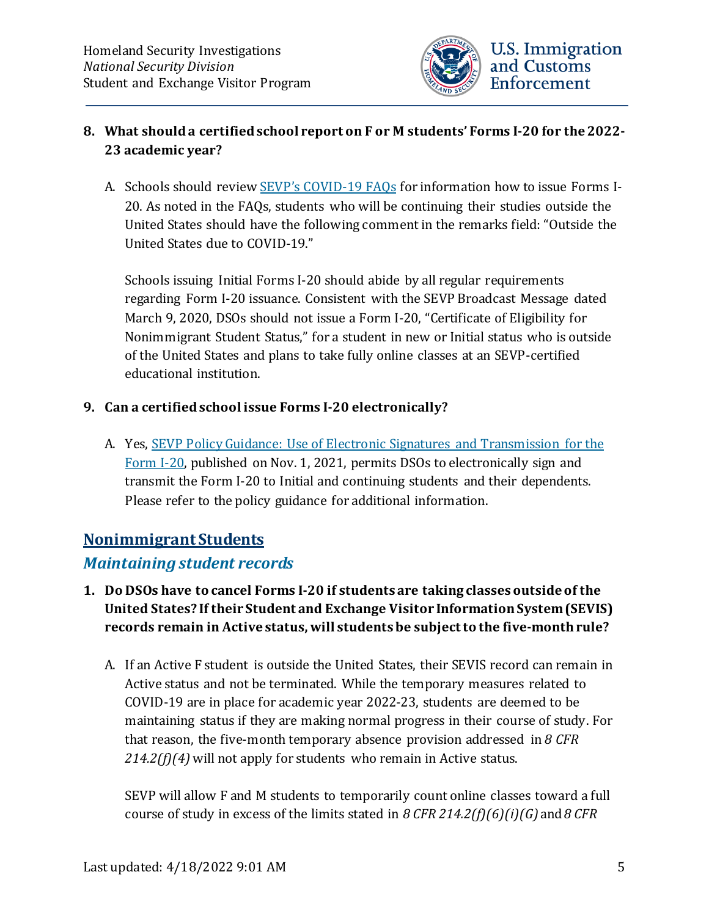

#### **8. What should a certified school report on F or M students' Forms I-20 for the 2022- 23 academic year?**

A. Schools should review [SEVP's COVID-19 FAQs](https://www.ice.gov/doclib/coronavirus/covid19faq.pdf) for information how to issue Forms I-20. As noted in the FAQs, students who will be continuing their studies outside the United States should have the following comment in the remarks field: "Outside the United States due to COVID-19."

Schools issuing Initial Forms I-20 should abide by all regular requirements regarding Form I-20 issuance. Consistent with the SEVP Broadcast Message dated March 9, 2020, DSOs should not issue a Form I-20, "Certificate of Eligibility for Nonimmigrant Student Status," for a student in new or Initial status who is outside of the United States and plans to take fully online classes at an SEVP-certified educational institution.

#### **9. Can a certified school issue Forms I-20 electronically?**

A. Yes, [SEVP Policy Guidance: Use of Electronic Signatures and Transmission for the](https://www.ice.gov/doclib/sevis/pdf/I20-guidance.pdf)  [Form I-20,](https://www.ice.gov/doclib/sevis/pdf/I20-guidance.pdf) published on Nov. 1, 2021, permits DSOs to electronically sign and transmit the Form I-20 to Initial and continuing students and their dependents. Please refer to the policy guidance for additional information.

### <span id="page-4-0"></span>**Nonimmigrant Students**

### <span id="page-4-1"></span>*Maintaining student records*

- **1. Do DSOs have to cancel Forms I-20 if students are taking classes outside of the United States? If their Student and Exchange Visitor Information System (SEVIS) records remain in Active status, will students be subject to the five-month rule?**
	- A. If an Active F student is outside the United States, their SEVIS record can remain in Active status and not be terminated. While the temporary measures related to COVID-19 are in place for academic year 2022-23, students are deemed to be maintaining status if they are making normal progress in their course of study. For that reason, the five-month temporary absence provision addressed in *8 CFR 214.2(f)(4)* will not apply for students who remain in Active status.

SEVP will allow F and M students to temporarily count online classes toward a full course of study in excess of the limits stated in *8 CFR 214.2(f)(6)(i)(G)* and *8 CFR*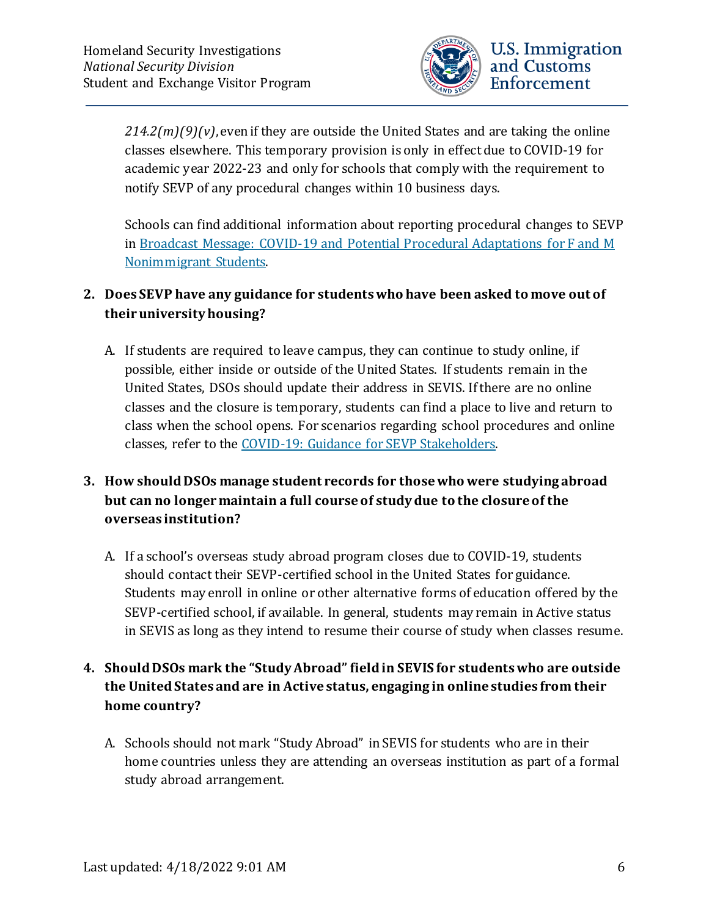

*214.2(m)(9)(v)*, even if they are outside the United States and are taking the online classes elsewhere. This temporary provision is only in effect due to COVID-19 for academic year 2022-23 and only for schools that comply with the requirement to notify SEVP of any procedural changes within 10 business days.

Schools can find additional information about reporting procedural changes to SEVP in Broadcast Message: COVID-19 [and Potential Procedural Adaptations for F and M](https://www.ice.gov/sites/default/files/documents/Document/2020/Coronavirus%20Guidance_3.13.20.pdf)  [Nonimmigrant Students.](https://www.ice.gov/sites/default/files/documents/Document/2020/Coronavirus%20Guidance_3.13.20.pdf)

### **2. Does SEVP have any guidance for students who have been asked to move out of their university housing?**

A. If students are required to leave campus, they can continue to study online, if possible, either inside or outside of the United States. If students remain in the United States, DSOs should update their address in SEVIS. If there are no online classes and the closure is temporary, students can find a place to live and return to class when the school opens. For scenarios regarding school procedures and online classes, refer to the [COVID-19: Guidance for SEVP Stakeholders.](https://www.ice.gov/sites/default/files/documents/Document/2020/Coronavirus%20Guidance_3.13.20.pdf)

### **3. How should DSOs manage student records for those who were studying abroad but can no longer maintain a full course of study due to the closure of the overseas institution?**

A. If a school's overseas study abroad program closes due to COVID-19, students should contact their SEVP-certified school in the United States for guidance. Students may enroll in online or other alternative forms of education offered by the SEVP-certified school, if available. In general, students may remain in Active status in SEVIS as long as they intend to resume their course of study when classes resume.

### **4. Should DSOs mark the "Study Abroad" field in SEVIS for students who are outside the United States and are in Active status, engaging in online studies from their home country?**

A. Schools should not mark "Study Abroad" in SEVIS for students who are in their home countries unless they are attending an overseas institution as part of a formal study abroad arrangement.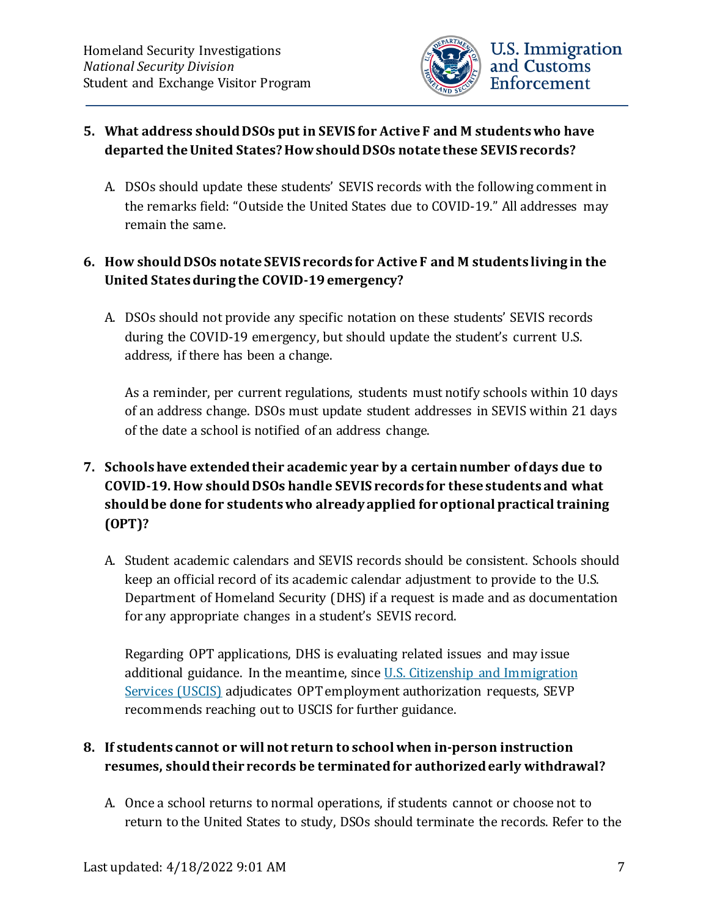

#### **5. What address should DSOs put in SEVIS for Active F and M students who have departed the United States? How should DSOs notate these SEVIS records?**

A. DSOs should update these students' SEVIS records with the following comment in the remarks field: "Outside the United States due to COVID-19." All addresses may remain the same.

### **6. How should DSOs notate SEVIS records for Active F and M students living in the United States during the COVID-19 emergency?**

A. DSOs should not provide any specific notation on these students' SEVIS records during the COVID-19 emergency, but should update the student's current U.S. address, if there has been a change.

As a reminder, per current regulations, students must notify schools within 10 days of an address change. DSOs must update student addresses in SEVIS within 21 days of the date a school is notified of an address change.

### **7. Schools have extended their academic year by a certain number of days due to COVID-19. How should DSOs handle SEVIS records for these students and what should be done for students who already applied for optional practical training (OPT)?**

A. Student academic calendars and SEVIS records should be consistent. Schools should keep an official record of its academic calendar adjustment to provide to the U.S. Department of Homeland Security (DHS) if a request is made and as documentation for any appropriate changes in a student's SEVIS record.

Regarding OPT applications, DHS is evaluating related issues and may issue additional guidance. In the meantime, since [U.S. Citizenship and Immigration](https://www.uscis.gov/)  [Services \(USCIS\)](https://www.uscis.gov/) adjudicates OPT employment authorization requests, SEVP recommends reaching out to USCIS for further guidance.

### **8. If students cannot or will not return to school when in-person instruction resumes, should their records be terminated for authorized early withdrawal?**

A. Once a school returns to normal operations, if students cannot or choose not to return to the United States to study, DSOs should terminate the records. Refer to the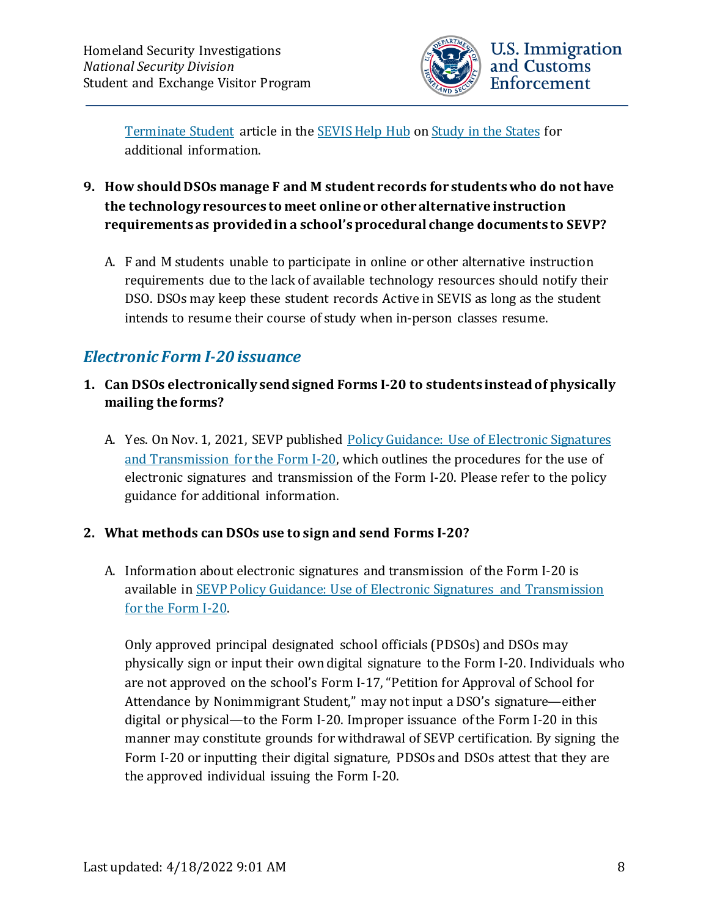

[Terminate Student](https://studyinthestates.dhs.gov/sevis-help-hub/student-records/completions-and-terminations/terminate-a-student) article in the [SEVIS Help Hub](https://studyinthestates.dhs.gov/sevis-help-hub/) on [Study in the States](https://studyinthestates.dhs.gov/) for additional information.

- **9. How should DSOs manage F and M student records for students who do not have the technology resources to meet online or other alternative instruction requirements as provided in a school's procedural change documents to SEVP?** 
	- A. F and M students unable to participate in online or other alternative instruction requirements due to the lack of available technology resources should notify their DSO. DSOs may keep these student records Active in SEVIS as long as the student intends to resume their course of study when in-person classes resume.

### <span id="page-7-0"></span>*Electronic Form I-20 issuance*

- **1. Can DSOs electronically send signed Forms I-20 to students instead of physically mailing the forms?**
	- A. Yes. On Nov. 1, 2021, SEVP published [Policy Guidance: Use of Electronic Signatures](https://www.ice.gov/doclib/sevis/pdf/I20-guidance.pdf)  [and Transmission for the Form I-20,](https://www.ice.gov/doclib/sevis/pdf/I20-guidance.pdf) which outlines the procedures for the use of electronic signatures and transmission of the Form I-20. Please refer to the policy guidance for additional information.

#### **2. What methods can DSOs use to sign and send Forms I-20?**

A. Information about electronic signatures and transmission of the Form I-20 is available in [SEVP Policy Guidance: Use of Electronic Signatures and Transmission](https://www.ice.gov/doclib/sevis/pdf/I20-guidance.pdf)  [for the Form I-20.](https://www.ice.gov/doclib/sevis/pdf/I20-guidance.pdf)

Only approved principal designated school officials (PDSOs) and DSOs may physically sign or input their own digital signature to the Form I-20. Individuals who are not approved on the school's Form I-17, "Petition for Approval of School for Attendance by Nonimmigrant Student," may not input a DSO's signature—either digital or physical—to the Form I-20. Improper issuance of the Form I-20 in this manner may constitute grounds for withdrawal of SEVP certification. By signing the Form I-20 or inputting their digital signature, PDSOs and DSOs attest that they are the approved individual issuing the Form I-20.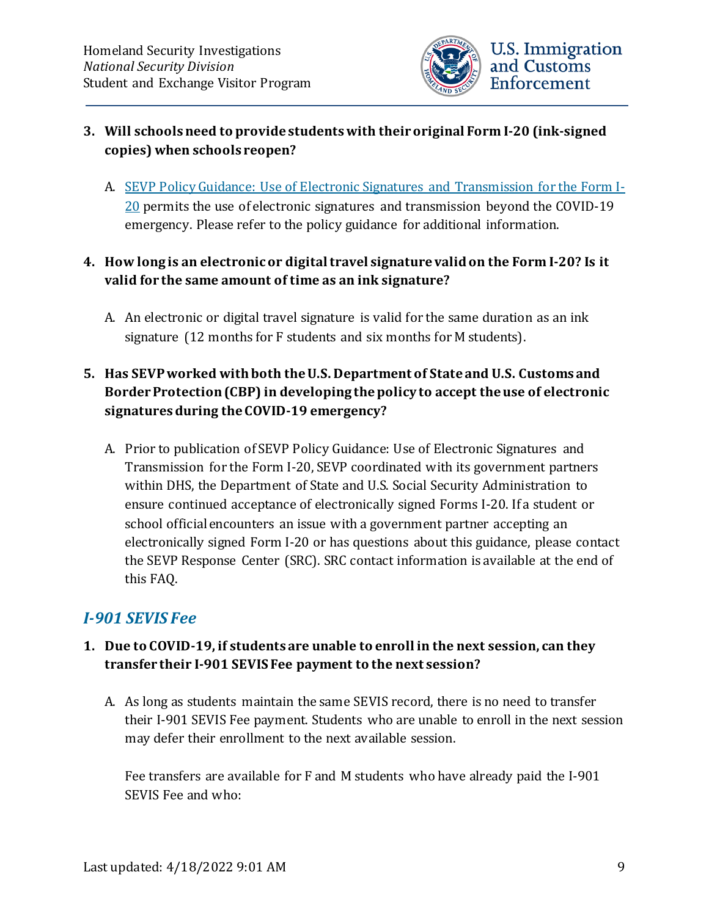

#### **3. Will schools need to provide students with their original Form I-20 (ink-signed copies) when schools reopen?**

- A. [SEVP Policy Guidance: Use of Electronic Signatures and Transmission for the Form I-](https://www.ice.gov/doclib/sevis/pdf/I20-guidance.pdf)[20](https://www.ice.gov/doclib/sevis/pdf/I20-guidance.pdf) permits the use of electronic signatures and transmission beyond the COVID-19 emergency. Please refer to the policy guidance for additional information.
- **4. How long is an electronic or digital travel signature valid on the Form I-20? Is it valid for the same amount of time as an ink signature?**
	- A. An electronic or digital travel signature is valid for the same duration as an ink signature (12 months for F students and six months for M students).

### **5. Has SEVP worked with both the U.S. Department of State and U.S. Customs and Border Protection (CBP) in developing the policy to accept the use of electronic signatures during the COVID-19 emergency?**

A. Prior to publication of SEVP Policy Guidance: Use of Electronic Signatures and Transmission for the Form I-20, SEVP coordinated with its government partners within DHS, the Department of State and U.S. Social Security Administration to ensure continued acceptance of electronically signed Forms I-20. If a student or school official encounters an issue with a government partner accepting an electronically signed Form I-20 or has questions about this guidance, please contact the SEVP Response Center (SRC). SRC contact information is available at the end of this FAQ.

## <span id="page-8-0"></span>*I-901 SEVIS Fee*

#### **1. Due to COVID-19, if students are unable to enroll in the next session, can they transfer their I-901 SEVIS Fee payment to the next session?**

A. As long as students maintain the same SEVIS record, there is no need to transfer their I-901 SEVIS Fee payment. Students who are unable to enroll in the next session may defer their enrollment to the next available session.

Fee transfers are available for F and M students who have already paid the I-901 SEVIS Fee and who: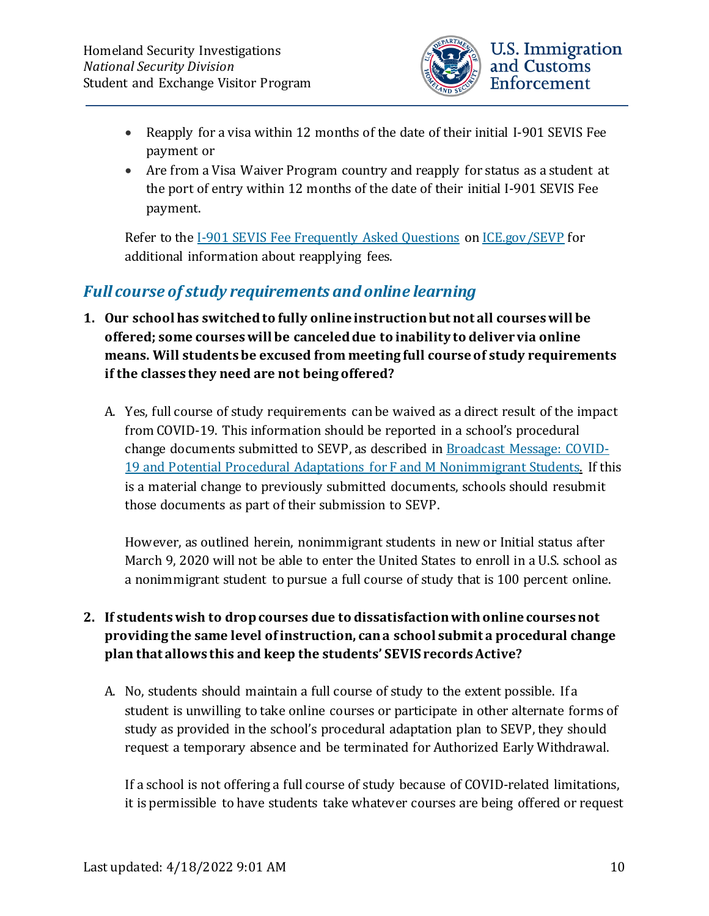

- Reapply for a visa within 12 months of the date of their initial I-901 SEVIS Fee payment or
- Are from a Visa Waiver Program country and reapply for status as a student at the port of entry within 12 months of the date of their initial I-901 SEVIS Fee payment.

Refer to the [I-901 SEVIS Fee Frequently Asked Questions](https://www.ice.gov/sevis/i901/faq#_Toc81222150) on [ICE.gov/SEVP](http://www.ice.gov/SEVP) for additional information about reapplying fees.

## <span id="page-9-0"></span>*Full course of study requirements and online learning*

- **1. Our school has switched to fully online instruction but not all courses will be offered; some courses will be canceled due to inability to deliver via online means. Will students be excused from meeting full course of study requirements if the classes they need are not being offered?**
	- A. Yes, full course of study requirements can be waived as a direct result of the impact from COVID-19. This information should be reported in a school's procedural change documents submitted to SEVP, as described in [Broadcast Message: COVID-](https://www.ice.gov/sites/default/files/documents/Document/2020/Coronavirus%20Guidance_3.13.20.pdf)[19 and Potential Procedural Adaptations for F and M Nonimmigrant Students.](https://www.ice.gov/sites/default/files/documents/Document/2020/Coronavirus%20Guidance_3.13.20.pdf) If this is a material change to previously submitted documents, schools should resubmit those documents as part of their submission to SEVP.

However, as outlined herein, nonimmigrant students in new or Initial status after March 9, 2020 will not be able to enter the United States to enroll in a U.S. school as a nonimmigrant student to pursue a full course of study that is 100 percent online.

### **2. If students wish to drop courses due to dissatisfaction with online courses not providing the same level of instruction, can a school submit a procedural change plan that allows this and keep the students' SEVIS records Active?**

A. No, students should maintain a full course of study to the extent possible. If a student is unwilling to take online courses or participate in other alternate forms of study as provided in the school's procedural adaptation plan to SEVP, they should request a temporary absence and be terminated for Authorized Early Withdrawal.

If a school is not offering a full course of study because of COVID-related limitations, it is permissible to have students take whatever courses are being offered or request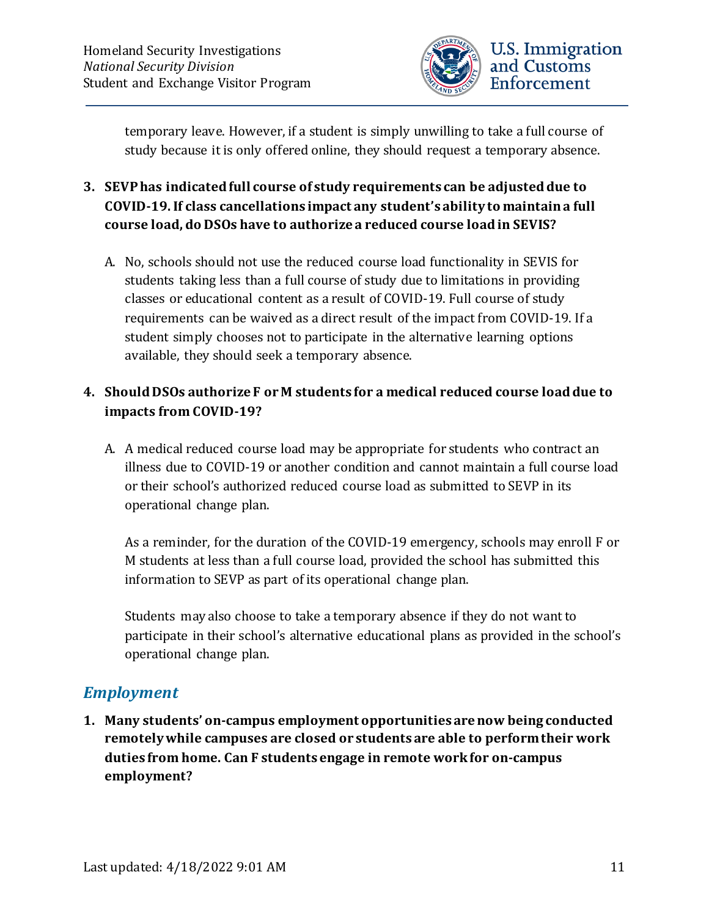

- **3. SEVP has indicated full course of study requirements can be adjusted due to COVID-19. If class cancellations impact any student's ability to maintain a full course load, do DSOs have to authorize a reduced course load in SEVIS?**
	- A. No, schools should not use the reduced course load functionality in SEVIS for students taking less than a full course of study due to limitations in providing classes or educational content as a result of COVID-19. Full course of study requirements can be waived as a direct result of the impact from COVID-19. If a student simply chooses not to participate in the alternative learning options available, they should seek a temporary absence.

### **4. Should DSOs authorize F or M students for a medical reduced course load due to impacts from COVID-19?**

A. A medical reduced course load may be appropriate for students who contract an illness due to COVID-19 or another condition and cannot maintain a full course load or their school's authorized reduced course load as submitted to SEVP in its operational change plan.

As a reminder, for the duration of the COVID-19 emergency, schools may enroll F or M students at less than a full course load, provided the school has submitted this information to SEVP as part of its operational change plan.

Students may also choose to take a temporary absence if they do not want to participate in their school's alternative educational plans as provided in the school's operational change plan.

## <span id="page-10-0"></span>*Employment*

**1. Many students' on-campus employment opportunities are now being conducted remotely while campuses are closed or students are able to perform their work duties from home. Can F students engage in remote work for on-campus employment?**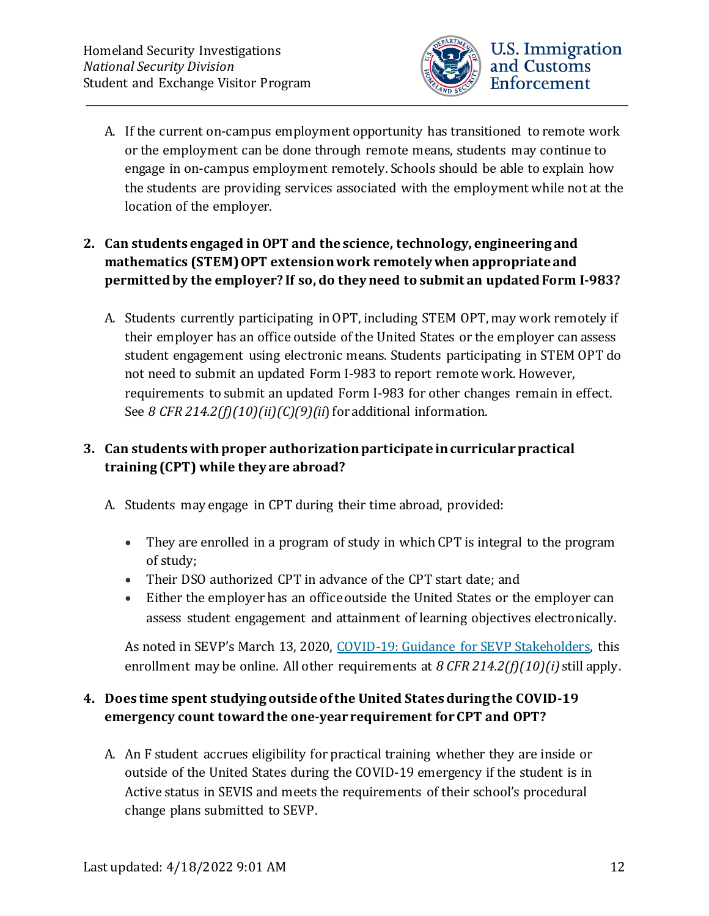

- A. If the current on-campus employment opportunity has transitioned to remote work or the employment can be done through remote means, students may continue to engage in on-campus employment remotely. Schools should be able to explain how the students are providing services associated with the employment while not at the location of the employer.
- **2. Can students engaged in OPT and the science, technology, engineering and mathematics (STEM) OPT extension work remotely when appropriate and permitted by the employer? If so, do they need to submit an updated Form I-983?**
	- A. Students currently participating in OPT, including STEM OPT, may work remotely if their employer has an office outside of the United States or the employer can assess student engagement using electronic means. Students participating in STEM OPT do not need to submit an updated Form I-983 to report remote work. However, requirements to submit an updated Form I-983 for other changes remain in effect. See *8 CFR 214.2(f)(10)(ii)(C)(9)(ii*) for additional information.

### **3. Can students with proper authorization participate in curricular practical training (CPT) while they are abroad?**

- A. Students may engage in CPT during their time abroad, provided:
	- They are enrolled in a program of study in which CPT is integral to the program of study;
	- Their DSO authorized CPT in advance of the CPT start date; and
	- Either the employer has an office outside the United States or the employer can assess student engagement and attainment of learning objectives electronically.

As noted in SEVP's March 13, 2020, [COVID-19: Guidance for SEVP Stakeholders,](https://www.ice.gov/sites/default/files/documents/Document/2020/Coronavirus%20Guidance_3.13.20.pdf) this enrollment may be online. All other requirements at *8 CFR 214.2(f)(10)(i)* still apply.

### **4. Does time spent studying outside of the United States during the COVID-19 emergency count toward the one-year requirement for CPT and OPT?**

A. An F student accrues eligibility for practical training whether they are inside or outside of the United States during the COVID-19 emergency if the student is in Active status in SEVIS and meets the requirements of their school's procedural change plans submitted to SEVP.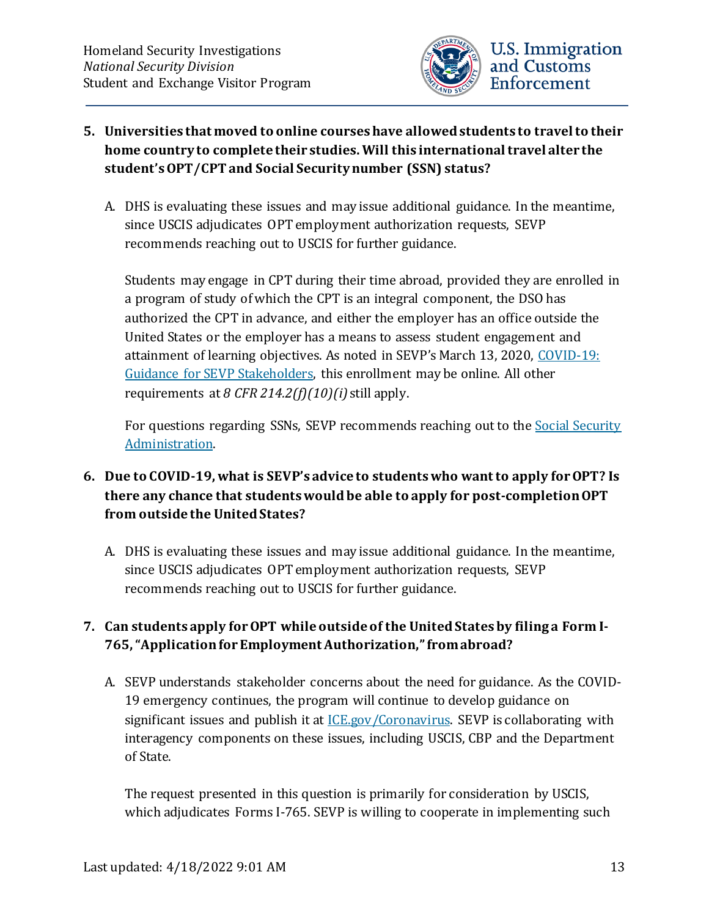

#### **5. Universities that moved to online courses have allowed students to travel to their home country to complete their studies. Will this international travel alter the student'sOPT/CPT and Social Security number (SSN) status?**

A. DHS is evaluating these issues and may issue additional guidance. In the meantime, since USCIS adjudicates OPT employment authorization requests, SEVP recommends reaching out to USCIS for further guidance.

Students may engage in CPT during their time abroad, provided they are enrolled in a program of study of which the CPT is an integral component, the DSO has authorized the CPT in advance, and either the employer has an office outside the United States or the employer has a means to assess student engagement and attainment of learning objectives. As noted in SEVP's March 13, 2020, [COVID-19:](https://www.ice.gov/sites/default/files/documents/Document/2020/Coronavirus%20Guidance_3.13.20.pdf)  [Guidance for SEVP Stakeholders,](https://www.ice.gov/sites/default/files/documents/Document/2020/Coronavirus%20Guidance_3.13.20.pdf) this enrollment may be online. All other requirements at *8 CFR 214.2(f)(10)(i)* still apply.

For questions regarding SSNs, SEVP recommends reaching out to the Social Security [Administration.](https://www.ssa.gov/)

### **6. Due to COVID-19, what is SEVP's advice to students who want to apply for OPT? Is there any chance that students would be able to apply for post-completion OPT from outside the United States?**

A. DHS is evaluating these issues and may issue additional guidance. In the meantime, since USCIS adjudicates OPT employment authorization requests, SEVP recommends reaching out to USCIS for further guidance.

### **7. Can students apply for OPT while outside of the United States by filing a Form I-765, "Application for Employment Authorization," from abroad?**

A. SEVP understands stakeholder concerns about the need for guidance. As the COVID-19 emergency continues, the program will continue to develop guidance on significant issues and publish it at [ICE.gov/Coronavirus.](http://www.ice.gov/coronavirus) SEVP is collaborating with interagency components on these issues, including USCIS, CBP and the Department of State.

The request presented in this question is primarily for consideration by USCIS, which adjudicates Forms I-765. SEVP is willing to cooperate in implementing such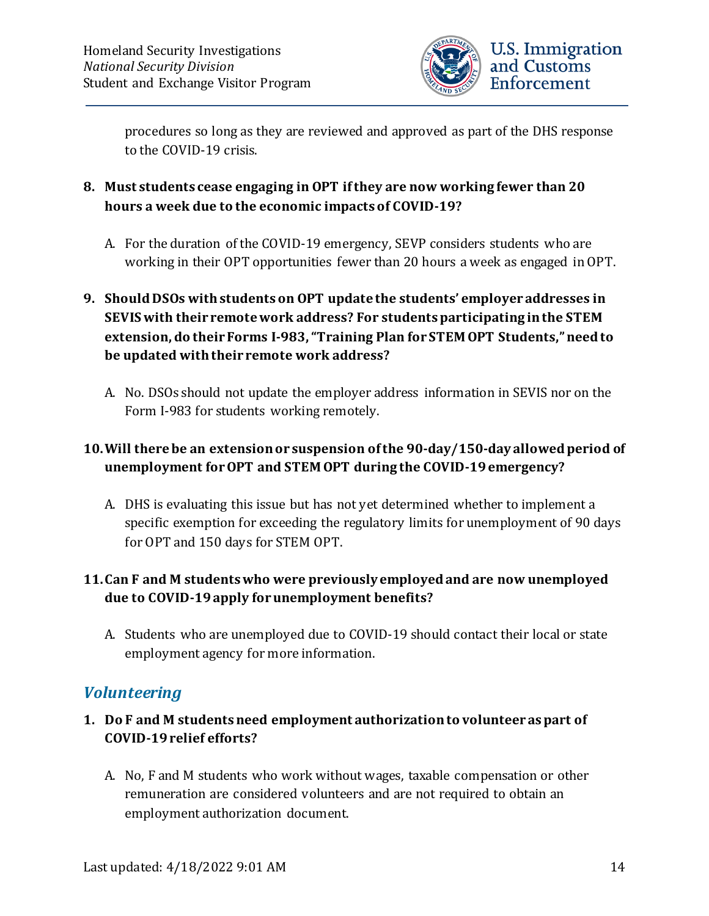

procedures so long as they are reviewed and approved as part of the DHS response to the COVID-19 crisis.

- **8. Must students cease engaging in OPT if they are now working fewer than 20 hours a week due to the economic impacts of COVID-19?**
	- A. For the duration of the COVID-19 emergency, SEVP considers students who are working in their OPT opportunities fewer than 20 hours a week as engaged in OPT.

### **9. Should DSOs with students on OPT update the students' employer addresses in SEVIS with their remote work address? For students participating in the STEM extension, do their Forms I-983, "Training Plan for STEM OPT Students," need to be updated with their remote work address?**

A. No. DSOs should not update the employer address information in SEVIS nor on the Form I-983 for students working remotely.

### **10.Will there be an extension or suspension of the 90-day/150-day allowed period of unemployment for OPT and STEM OPT during the COVID-19 emergency?**

A. DHS is evaluating this issue but has not yet determined whether to implement a specific exemption for exceeding the regulatory limits for unemployment of 90 days for OPT and 150 days for STEM OPT.

### **11.Can F and M students who were previously employed and are now unemployed due to COVID-19 apply for unemployment benefits?**

A. Students who are unemployed due to COVID-19 should contact their local or state employment agency for more information.

## <span id="page-13-0"></span>*Volunteering*

- **1. Do F and M students need employment authorization to volunteer as part of COVID-19 relief efforts?**
	- A. No, F and M students who work without wages, taxable compensation or other remuneration are considered volunteers and are not required to obtain an employment authorization document.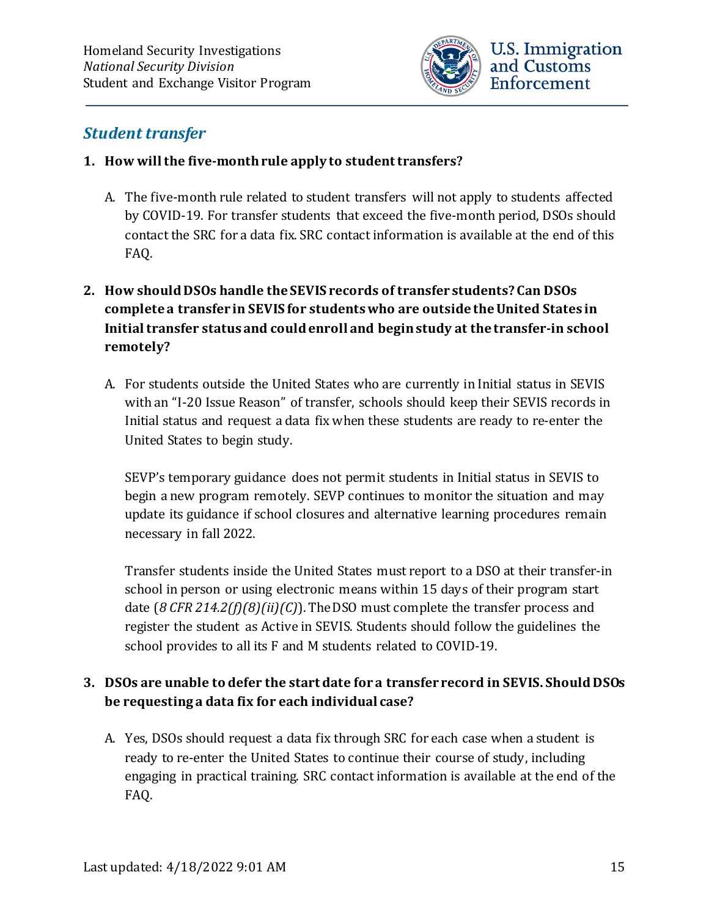

### <span id="page-14-0"></span>*Student transfer*

#### **1. How will the five-month rule apply to student transfers?**

A. The five-month rule related to student transfers will not apply to students affected by COVID-19. For transfer students that exceed the five-month period, DSOs should contact the SRC for a data fix. SRC contact information is available at the end of this FAQ.

### **2. How should DSOs handle the SEVIS records of transfer students? Can DSOs complete a transfer in SEVIS for students who are outside the United States in Initial transfer status and could enroll and begin study at the transfer-in school remotely?**

A. For students outside the United States who are currently in Initial status in SEVIS with an "I-20 Issue Reason" of transfer, schools should keep their SEVIS records in Initial status and request a data fix when these students are ready to re-enter the United States to begin study.

SEVP's temporary guidance does not permit students in Initial status in SEVIS to begin a new program remotely. SEVP continues to monitor the situation and may update its guidance if school closures and alternative learning procedures remain necessary in fall 2022.

Transfer students inside the United States must report to a DSO at their transfer-in school in person or using electronic means within 15 days of their program start date (*8 CFR 214.2(f)(8)(ii)(C)*). The DSO must complete the transfer process and register the student as Active in SEVIS. Students should follow the guidelines the school provides to all its F and M students related to COVID-19.

#### **3. DSOs are unable to defer the start date for a transfer record in SEVIS. Should DSOs be requesting a data fix for each individual case?**

A. Yes, DSOs should request a data fix through SRC for each case when a student is ready to re-enter the United States to continue their course of study, including engaging in practical training. SRC contact information is available at the end of the FAQ.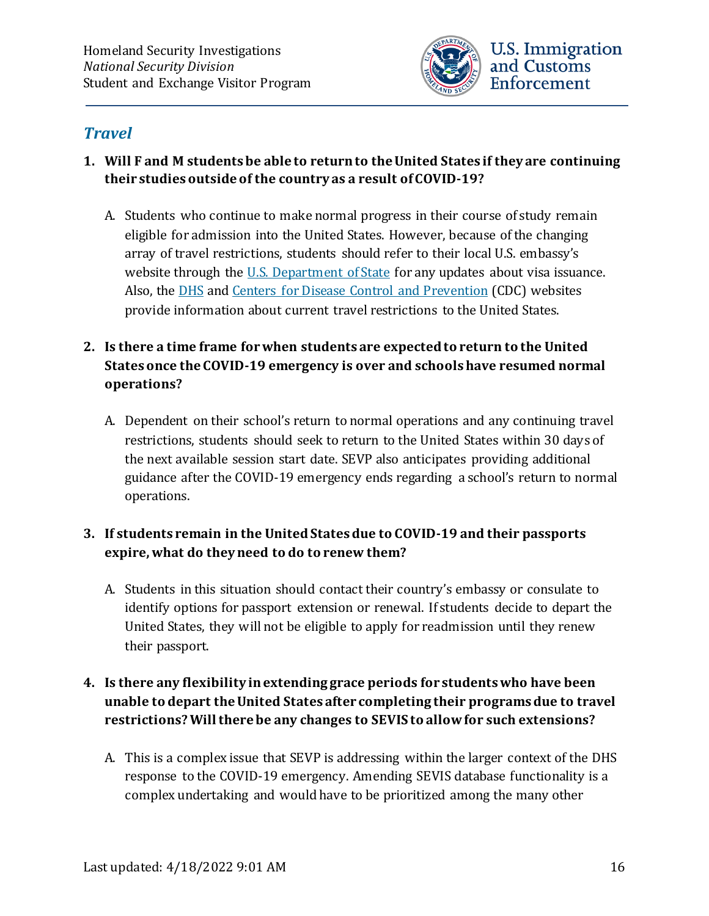

### <span id="page-15-0"></span>*Travel*

- **1. Will F and M students be able to return to the United States if they are continuing their studies outside of the country as a result of COVID-19?**
	- A. Students who continue to make normal progress in their course of study remain eligible for admission into the United States. However, because of the changing array of travel restrictions, students should refer to their local U.S. embassy's website through the [U.S. Department of State](https://travel.state.gov/content/travel/en/traveladvisories/ea/covid-19-information.html#_blank) for any updates about visa issuance. Also, the [DHS](https://www.dhs.gov/) and Centers [for Disease Control and Prevention](https://www.cdc.gov/coronavirus/2019-ncov/travelers/index.html) (CDC) websites provide information about current travel restrictions to the United States.

### **2. Is there a time frame for when students are expected to return to the United States once the COVID-19 emergency is over and schools have resumed normal operations?**

A. Dependent on their school's return to normal operations and any continuing travel restrictions, students should seek to return to the United States within 30 days of the next available session start date. SEVP also anticipates providing additional guidance after the COVID-19 emergency ends regarding a school's return to normal operations.

### **3. If students remain in the United States due to COVID-19 and their passports expire, what do they need to do to renew them?**

A. Students in this situation should contact their country's embassy or consulate to identify options for passport extension or renewal. If students decide to depart the United States, they will not be eligible to apply for readmission until they renew their passport.

### **4. Is there any flexibility in extending grace periods for students who have been unable to depart the United States after completing their programs due to travel restrictions? Will there be any changes to SEVIS to allow for such extensions?**

A. This is a complex issue that SEVP is addressing within the larger context of the DHS response to the COVID-19 emergency. Amending SEVIS database functionality is a complex undertaking and would have to be prioritized among the many other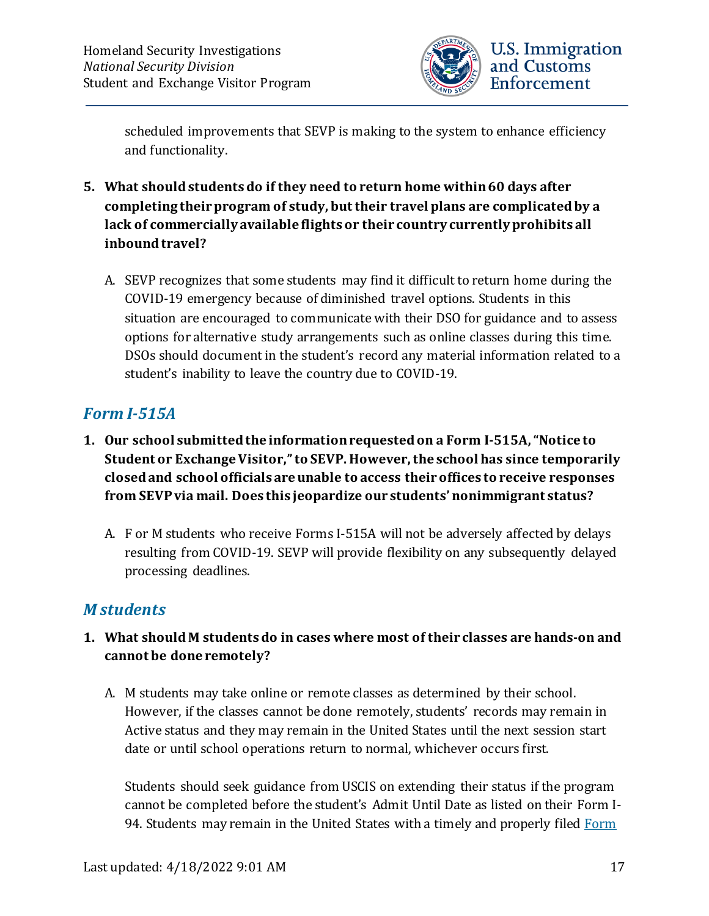

scheduled improvements that SEVP is making to the system to enhance efficiency and functionality.

- **5. What should students do if they need to return home within 60 days after completing their program of study, but their travel plans are complicated by a lack of commercially available flights or their country currently prohibits all inbound travel?**
	- A. SEVP recognizes that some students may find it difficult to return home during the COVID-19 emergency because of diminished travel options. Students in this situation are encouraged to communicate with their DSO for guidance and to assess options for alternative study arrangements such as online classes during this time. DSOs should document in the student's record any material information related to a student's inability to leave the country due to COVID-19.

### <span id="page-16-0"></span>*Form I-515A*

- **1. Our school submitted the information requested on a Form I-515A, "Notice to Student or Exchange Visitor," to SEVP. However, the school has since temporarily closed and school officials are unable to access their offices to receive responses from SEVP via mail. Does this jeopardize our students' nonimmigrant status?**
	- A. F or M students who receive Forms I-515A will not be adversely affected by delays resulting from COVID-19. SEVP will provide flexibility on any subsequently delayed processing deadlines.

## <span id="page-16-1"></span>*M students*

- **1. What should M students do in cases where most of their classes are hands-on and cannot be done remotely?**
	- A. M students may take online or remote classes as determined by their school. However, if the classes cannot be done remotely, students' records may remain in Active status and they may remain in the United States until the next session start date or until school operations return to normal, whichever occurs first.

Students should seek guidance from USCIS on extending their status if the program cannot be completed before the student's Admit Until Date as listed on their Form I-94. Students may remain in the United States with a timely and properly filed Form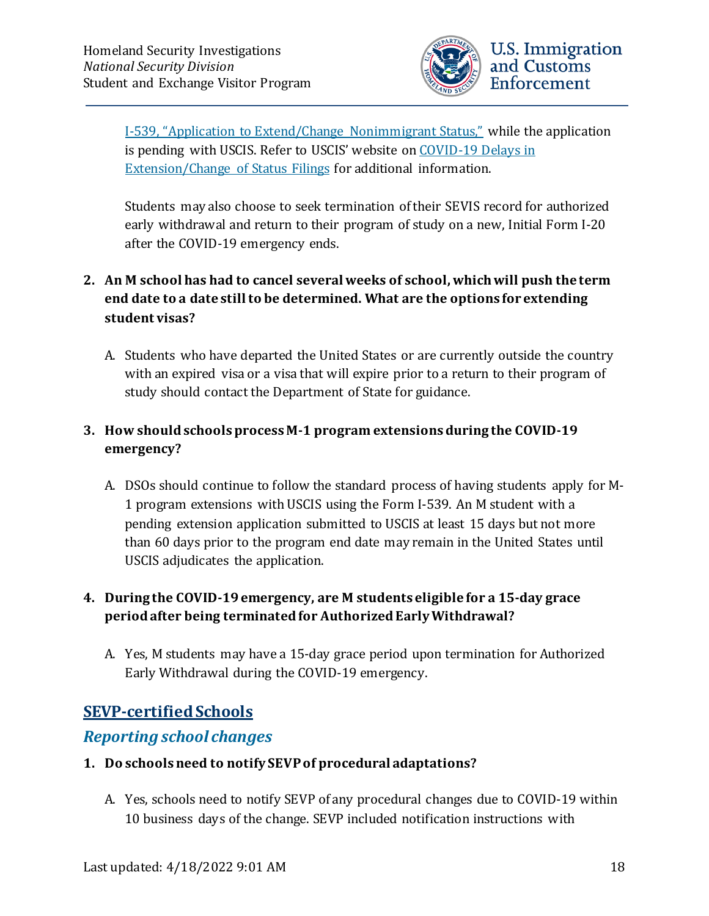

[Extension/Change of Status Filings](https://www.uscis.gov/news/alerts/covid-19-delays-extensionchange-status-filings) for additional information.

Students may also choose to seek termination of their SEVIS record for authorized early withdrawal and return to their program of study on a new, Initial Form I-20 after the COVID-19 emergency ends.

### **2. An M school has had to cancel several weeks of school, which will push the term end date to a date still to be determined. What are the options for extending student visas?**

A. Students who have departed the United States or are currently outside the country with an expired visa or a visa that will expire prior to a return to their program of study should contact the Department of State for guidance.

### **3. How should schools process M-1 program extensions during the COVID-19 emergency?**

A. DSOs should continue to follow the standard process of having students apply for M-1 program extensions with USCIS using the Form I-539. An M student with a pending extension application submitted to USCIS at least 15 days but not more than 60 days prior to the program end date may remain in the United States until USCIS adjudicates the application.

### **4. During the COVID-19 emergency, are M students eligible for a 15-day grace period after being terminated for Authorized Early Withdrawal?**

A. Yes, M students may have a 15-day grace period upon termination for Authorized Early Withdrawal during the COVID-19 emergency.

## <span id="page-17-0"></span>**SEVP-certified Schools**

### <span id="page-17-1"></span>*Reporting school changes*

#### **1. Do schools need to notify SEVP of procedural adaptations?**

A. Yes, schools need to notify SEVP of any procedural changes due to COVID-19 within 10 business days of the change. SEVP included notification instructions with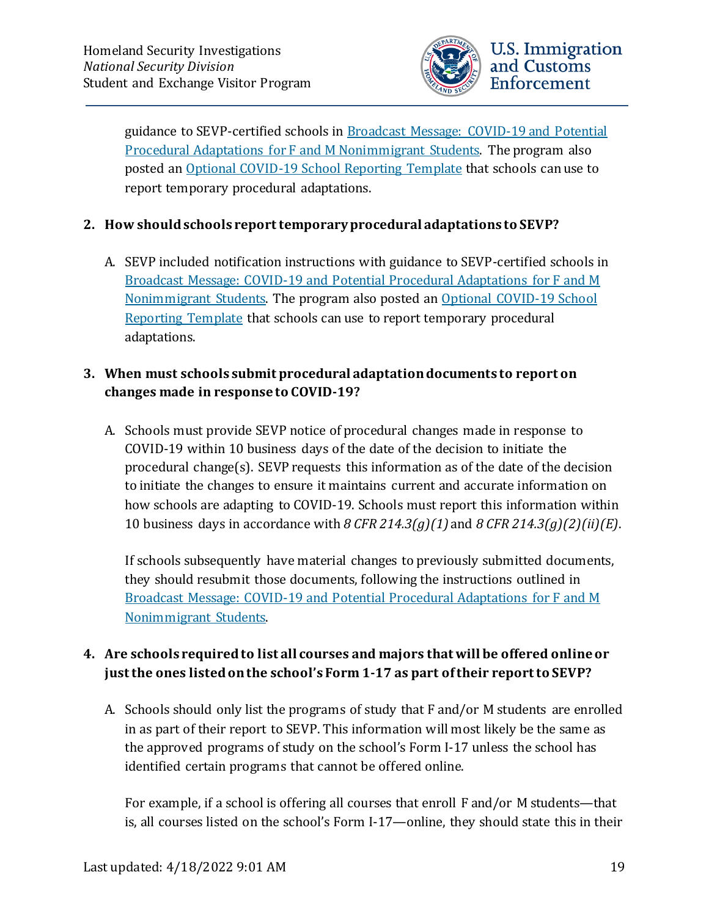

guidance to SEVP-certified schools in Broadcast Message: COVID-19 and Potential [Procedural Adaptations for F and M Nonimmigrant Students.](https://www.ice.gov/doclib/sevis/pdf/bcm2003-01.pdf) The program also posted an Optional COVID-19 [School Reporting Template](https://www.ice.gov/doclib/sevis/pdf/coronavirusSEVP_ReportingTemplate.pdf) that schools can use to report temporary procedural adaptations.

#### **2. How should schools report temporary procedural adaptations to SEVP?**

A. SEVP included notification instructions with guidance to SEVP-certified schools in Broadcast Message: COVID-19 [and Potential Procedural Adaptations for F and M](https://www.ice.gov/doclib/sevis/pdf/bcm2003-01.pdf)  [Nonimmigrant Students.](https://www.ice.gov/doclib/sevis/pdf/bcm2003-01.pdf) The program also posted an [Optional COVID-19 School](https://www.ice.gov/doclib/sevis/pdf/coronavirusSEVP_ReportingTemplate.pdf)  [Reporting Template](https://www.ice.gov/doclib/sevis/pdf/coronavirusSEVP_ReportingTemplate.pdf) that schools can use to report temporary procedural adaptations.

#### **3. When must schools submit procedural adaptation documents to report on changes made in response to COVID-19?**

A. Schools must provide SEVP notice of procedural changes made in response to COVID-19 within 10 business days of the date of the decision to initiate the procedural change(s). SEVP requests this information as of the date of the decision to initiate the changes to ensure it maintains current and accurate information on how schools are adapting to COVID-19. Schools must report this information within 10 business days in accordance with *8 CFR 214.3(g)(1)* and *8 CFR 214.3(g)(2)(ii)(E)*.

If schools subsequently have material changes to previously submitted documents, they should resubmit those documents, following the instructions outlined in [Broadcast Message: COVID-19 and Potential Procedural Adaptations for F and M](https://www.ice.gov/doclib/sevis/pdf/bcm2003-01.pdf)  [Nonimmigrant Students.](https://www.ice.gov/doclib/sevis/pdf/bcm2003-01.pdf)

### **4. Are schools required to list all courses and majors that will be offered online or just the ones listed on the school's Form 1-17 as part of their report to SEVP?**

A. Schools should only list the programs of study that F and/or M students are enrolled in as part of their report to SEVP. This information will most likely be the same as the approved programs of study on the school's Form I-17 unless the school has identified certain programs that cannot be offered online.

For example, if a school is offering all courses that enroll F and/or M students—that is, all courses listed on the school's Form I-17—online, they should state this in their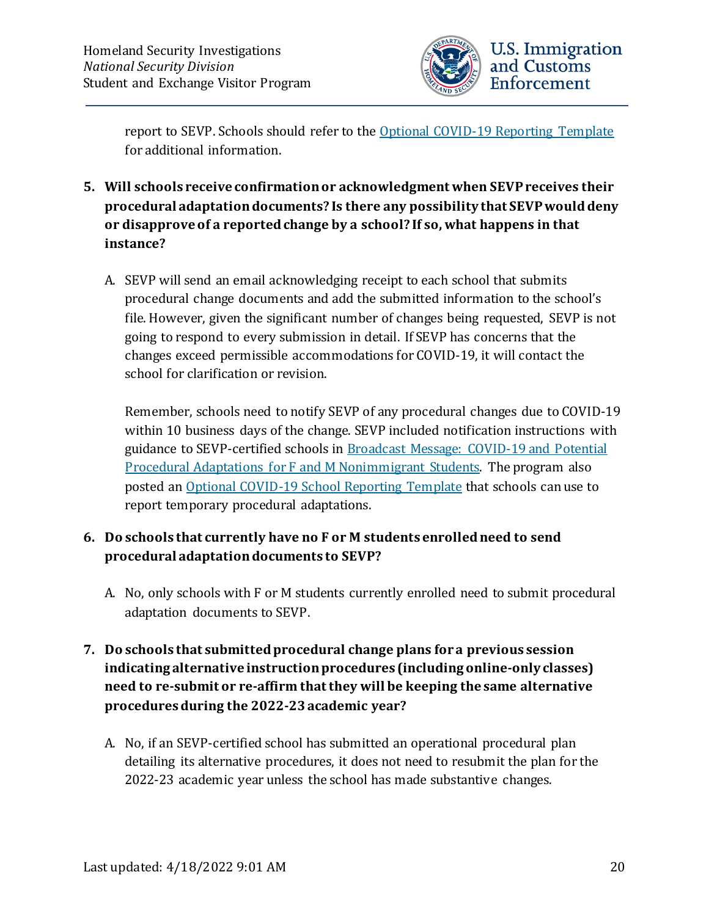

report to SEVP. Schools should refer to the [Optional COVID-19 Reporting Template](https://www.ice.gov/doclib/sevis/pdf/coronavirusSEVP_ReportingTemplate.pdf) for additional information.

- **5. Will schools receive confirmation or acknowledgment when SEVP receives their procedural adaptation documents? Is there any possibility that SEVP would deny or disapprove of a reported change by a school? If so, what happens in that instance?**
	- A. SEVP will send an email acknowledging receipt to each school that submits procedural change documents and add the submitted information to the school's file. However, given the significant number of changes being requested, SEVP is not going to respond to every submission in detail. If SEVP has concerns that the changes exceed permissible accommodations for COVID-19, it will contact the school for clarification or revision.

Remember, schools need to notify SEVP of any procedural changes due to COVID-19 within 10 business days of the change. SEVP included notification instructions with guidance to SEVP-certified schools in [Broadcast Message: COVID-19 and Potential](https://www.ice.gov/doclib/sevis/pdf/bcm2003-01.pdf)  [Procedural Adaptations for F and M Nonimmigrant Students.](https://www.ice.gov/doclib/sevis/pdf/bcm2003-01.pdf) The program also posted an Optional COVID-19 [School Reporting Template](https://www.ice.gov/doclib/sevis/pdf/coronavirusSEVP_ReportingTemplate.pdf) that schools can use to report temporary procedural adaptations.

#### **6. Do schools that currently have no F or M students enrolled need to send procedural adaptation documents to SEVP?**

A. No, only schools with F or M students currently enrolled need to submit procedural adaptation documents to SEVP.

### **7. Do schools that submitted procedural change plans for a previous session indicating alternative instruction procedures (including online-only classes) need to re-submit or re-affirm that they will be keeping the same alternative procedures during the 2022-23academic year?**

A. No, if an SEVP-certified school has submitted an operational procedural plan detailing its alternative procedures, it does not need to resubmit the plan for the 2022-23 academic year unless the school has made substantive changes.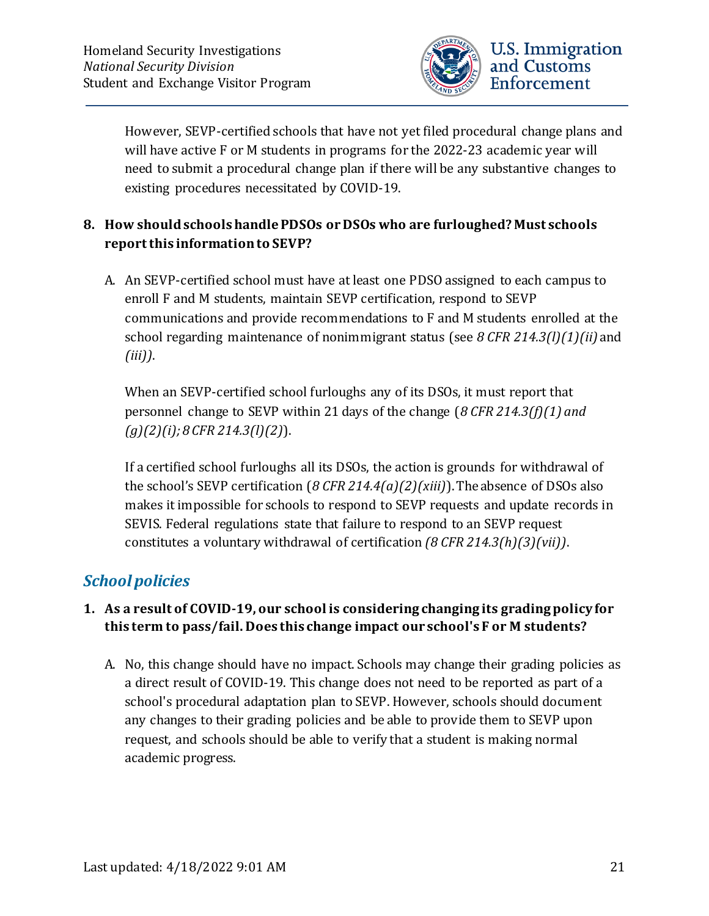

However, SEVP-certified schools that have not yet filed procedural change plans and will have active F or M students in programs for the 2022-23 academic year will need to submit a procedural change plan if there will be any substantive changes to existing procedures necessitated by COVID-19.

### **8. How should schools handle PDSOs or DSOs who are furloughed? Must schools report this information to SEVP?**

A. An SEVP-certified school must have at least one PDSO assigned to each campus to enroll F and M students, maintain SEVP certification, respond to SEVP communications and provide recommendations to F and M students enrolled at the school regarding maintenance of nonimmigrant status (see *8 CFR 214.3(l)(1)(ii)* and *(iii))*.

When an SEVP-certified school furloughs any of its DSOs, it must report that personnel change to SEVP within 21 days of the change (*8 CFR 214.3(f)(1) and (g)(2)(i); 8 CFR 214.3(l)(2)*).

If a certified school furloughs all its DSOs, the action is grounds for withdrawal of the school's SEVP certification (*8 CFR 214.4(a)(2)(xiii)*). The absence of DSOs also makes it impossible for schools to respond to SEVP requests and update records in SEVIS. Federal regulations state that failure to respond to an SEVP request constitutes a voluntary withdrawal of certification *(8 CFR 214.3(h)(3)(vii))*.

## <span id="page-20-0"></span>*School policies*

### **1. As a result of COVID-19, our school is considering changing its grading policy for this term to pass/fail. Does this change impact our school's F or M students?**

A. No, this change should have no impact. Schools may change their grading policies as a direct result of COVID-19. This change does not need to be reported as part of a school's procedural adaptation plan to SEVP. However, schools should document any changes to their grading policies and be able to provide them to SEVP upon request, and schools should be able to verify that a student is making normal academic progress.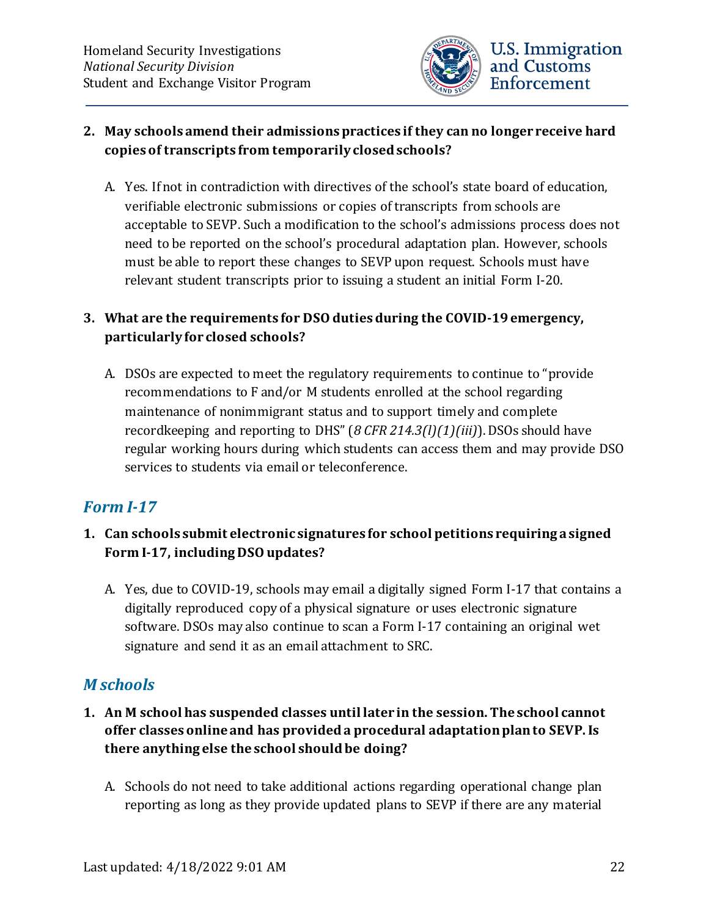

#### **2. May schools amend their admissions practices if they can no longer receive hard copies of transcripts from temporarily closed schools?**

A. Yes. If not in contradiction with directives of the school's state board of education, verifiable electronic submissions or copies of transcripts from schools are acceptable to SEVP. Such a modification to the school's admissions process does not need to be reported on the school's procedural adaptation plan. However, schools must be able to report these changes to SEVP upon request. Schools must have relevant student transcripts prior to issuing a student an initial Form I-20.

### **3. What are the requirements for DSO duties during the COVID-19 emergency, particularly for closed schools?**

A. DSOs are expected to meet the regulatory requirements to continue to "provide recommendations to F and/or M students enrolled at the school regarding maintenance of nonimmigrant status and to support timely and complete recordkeeping and reporting to DHS" (*8 CFR 214.3(l)(1)(iii)*).DSOs should have regular working hours during which students can access them and may provide DSO services to students via email or teleconference.

## <span id="page-21-0"></span>*Form I-17*

- **1. Can schools submit electronic signatures for school petitions requiring a signed Form I-17, including DSO updates?**
	- A. Yes, due to COVID-19, schools may email a digitally signed Form I-17 that contains a digitally reproduced copy of a physical signature or uses electronic signature software. DSOs may also continue to scan a Form I-17 containing an original wet signature and send it as an email attachment to SRC.

## <span id="page-21-1"></span>*M schools*

- **1. An M school has suspended classes until later in the session. The school cannot offer classes online and has provided a procedural adaptation plan to SEVP. Is there anything else the school should be doing?**
	- A. Schools do not need to take additional actions regarding operational change plan reporting as long as they provide updated plans to SEVP if there are any material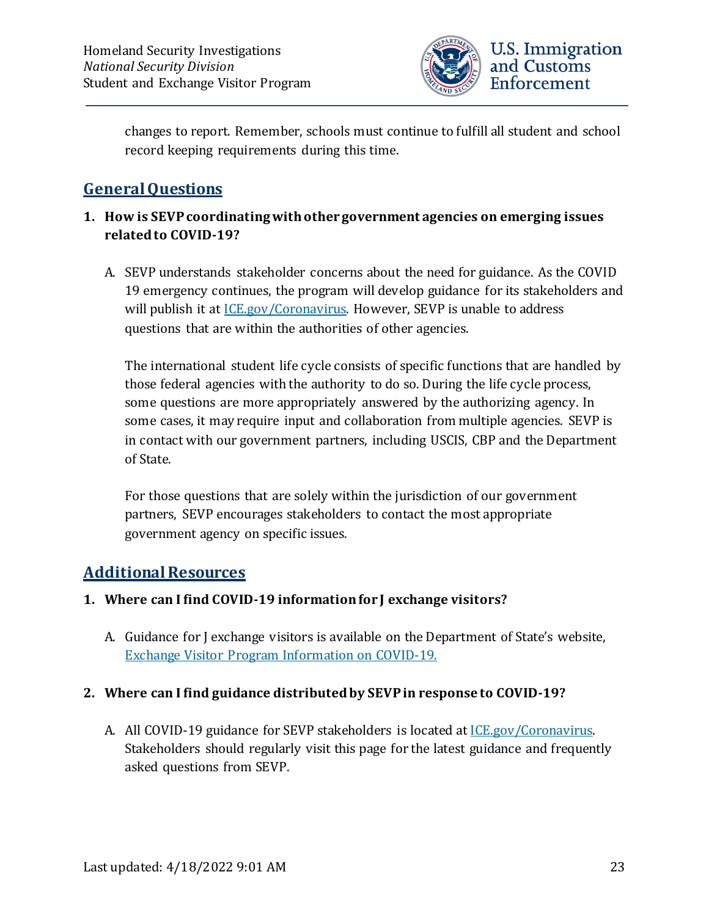

changes to report. Remember, schools must continue to fulfill all student and school record keeping requirements during this time.

## <span id="page-22-0"></span>**General Questions**

#### **1. How is SEVPcoordinatingwith other government agencies on emerging issues related to COVID-19?**

A. SEVP understands stakeholder concerns about the need for guidance. As the COVID 19 emergency continues, the program will develop guidance for its stakeholders and will publish it at *ICE.gov/Coronavirus*. However, SEVP is unable to address questions that are within the authorities of other agencies.

The international student life cycle consists of specific functions that are handled by those federal agencies with the authority to do so. During the life cycle process, some questions are more appropriately answered by the authorizing agency. In some cases, it may require input and collaboration from multiple agencies. SEVP is in contact with our government partners, including USCIS, CBP and the Department of State.

For those questions that are solely within the jurisdiction of our government partners, SEVP encourages stakeholders to contact the most appropriate government agency on specific issues.

### <span id="page-22-1"></span>**Additional Resources**

#### **1. Where can I find COVID-19 information for J exchange visitors?**

A. Guidance for J exchange visitors is available on the Department of State's website, [Exchange Visitor Program Information on COVID-19.](https://j1visa.state.gov/covid-19/)

#### **2. Where can I find guidance distributed by SEVP in response to COVID-19?**

A. All COVID-19 guidance for SEVP stakeholders is located at [ICE.gov/Coronavirus.](https://www.ice.gov/coronavirus) Stakeholders should regularly visit this page for the latest guidance and frequently asked questions from SEVP.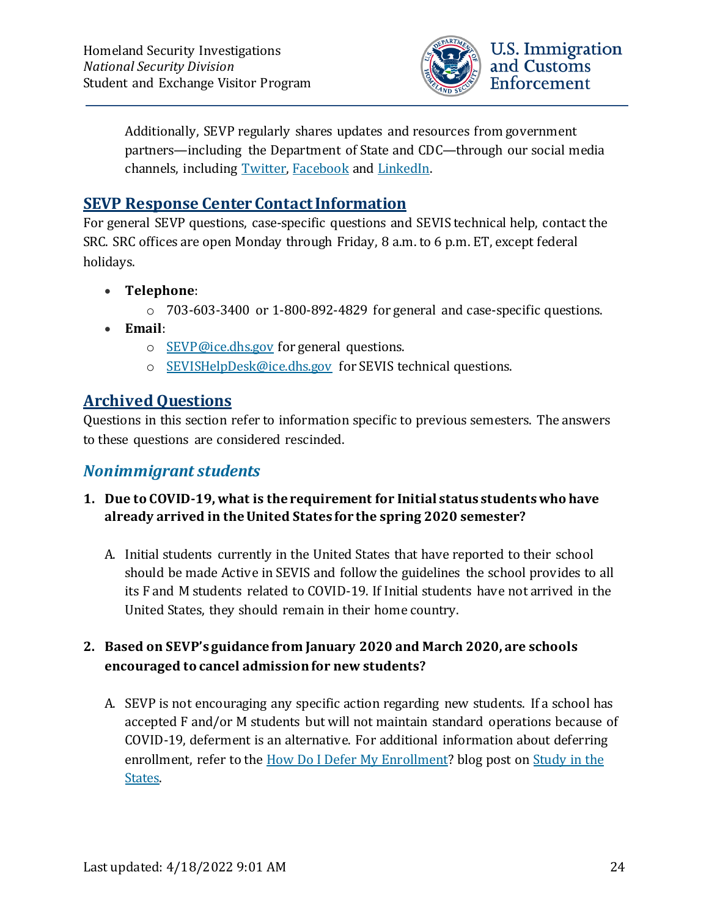

Additionally, SEVP regularly shares updates and resources from government partners—including the Department of State and CDC—through our social media channels, including [Twitter,](https://twitter.com/StudyinStates) [Facebook](https://www.facebook.com/StudyintheStates/) and [LinkedIn.](https://www.linkedin.com/company/student-and-exchange-visitor-program)

### <span id="page-23-0"></span>**SEVP Response Center Contact Information**

For general SEVP questions, case-specific questions and SEVIS technical help, contact the SRC. SRC offices are open Monday through Friday, 8 a.m. to 6 p.m. ET, except federal holidays.

- **Telephone**:
	- o 703-603-3400 or 1-800-892-4829 for general and case-specific questions.
- **Email**:
	- o [SEVP@ice.dhs.gov](mailto:SEVP@ice.dhs.gov) for general questions.
	- o [SEVISHelpDesk@ice.dhs.gov](mailto:SEVISHelpDesk@ice.dhs.gov) for SEVIS technical questions.

### <span id="page-23-1"></span>**Archived Questions**

Questions in this section refer to information specific to previous semesters. The answers to these questions are considered rescinded.

### <span id="page-23-2"></span>*Nonimmigrant students*

### **1. Due to COVID-19, what is the requirement for Initial status students who have already arrived in the United States for the spring 2020 semester?**

A. Initial students currently in the United States that have reported to their school should be made Active in SEVIS and follow the guidelines the school provides to all its F and M students related to COVID-19. If Initial students have not arrived in the United States, they should remain in their home country.

### **2. Based on SEVP's guidance from January 2020 and March 2020, are schools encouraged to cancel admission for new students?**

A. SEVP is not encouraging any specific action regarding new students. If a school has accepted F and/or M students but will not maintain standard operations because of COVID-19, deferment is an alternative. For additional information about deferring enrollment, refer to the [How Do I Defer My Enrollment?](https://studyinthestates.dhs.gov/2015/02/how-do-i-defer-my-enrollment) blog post on [Study in the](https://studyinthestates.dhs.gov/)  [States.](https://studyinthestates.dhs.gov/)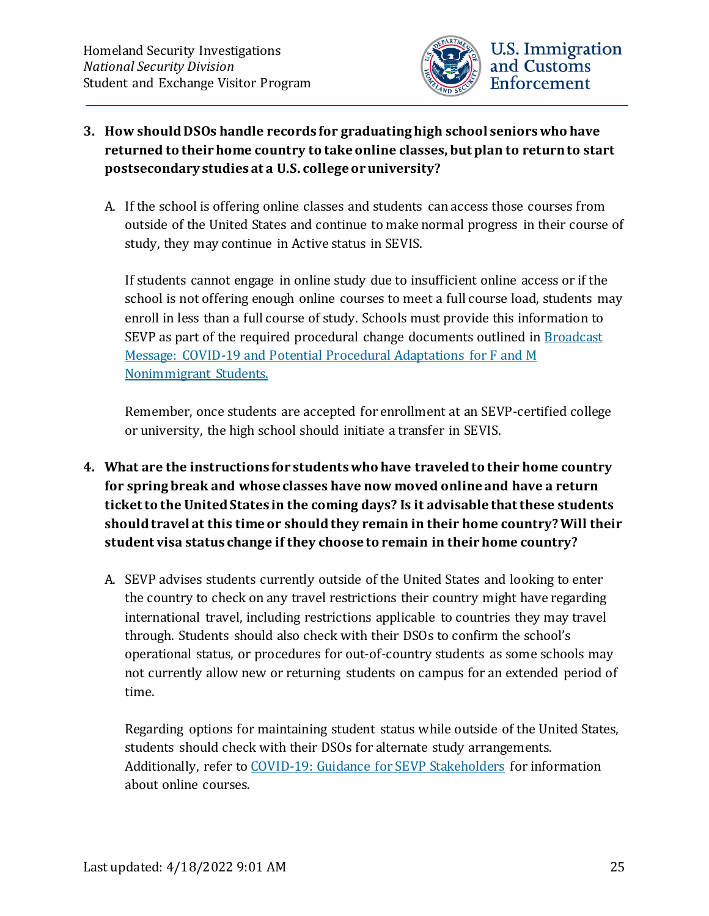

### **3. How should DSOs handle records for graduating high school seniors who have returned to their home country to take online classes, but plan to return to start postsecondary studies at a U.S. college or university?**

A. If the school is offering online classes and students can access those courses from outside of the United States and continue to make normal progress in their course of study, they may continue in Active status in SEVIS.

If students cannot engage in online study due to insufficient online access or if the school is not offering enough online courses to meet a full course load, students may enroll in less than a full course of study. Schools must provide this information to SEVP as part of the required procedural change documents outlined in Broadcast [Message: COVID-19 and Potential Procedural Adaptations for F and M](https://www.ice.gov/doclib/sevis/pdf/bcm2003-01.pdf)  [Nonimmigrant Students.](https://www.ice.gov/doclib/sevis/pdf/bcm2003-01.pdf)

Remember, once students are accepted for enrollment at an SEVP-certified college or university, the high school should initiate a transfer in SEVIS.

- **4. What are the instructions for students who have traveled to their home country for spring break and whose classes have now moved online and have a return ticket to the United States in the coming days? Is it advisable that these students should travel at this time or should they remain in their home country? Will their student visa status change if they choose to remain in their home country?**
	- A. SEVP advises students currently outside of the United States and looking to enter the country to check on any travel restrictions their country might have regarding international travel, including restrictions applicable to countries they may travel through. Students should also check with their DSOs to confirm the school's operational status, or procedures for out-of-country students as some schools may not currently allow new or returning students on campus for an extended period of time.

Regarding options for maintaining student status while outside of the United States, students should check with their DSOs for alternate study arrangements. Additionally, refer to [COVID-19: Guidance for SEVP Stakeholders](https://www.ice.gov/sites/default/files/documents/Document/2020/Coronavirus%20Guidance_3.13.20.pdf) for information about online courses.